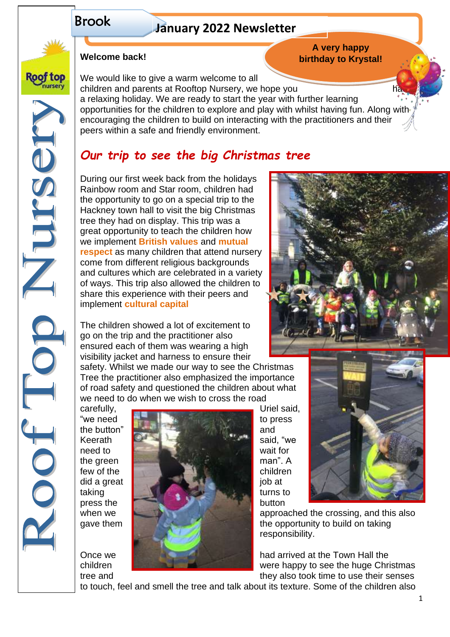# Brook

Roof top lursery

NBSDILLE

COOT

# **January 2022 Newsletter**

# **Welcome back!**

We would like to give a warm welcome to all children and parents at Rooftop Nursery, we hope you a relaxing holiday. We are ready to start the year with further learning opportunities for the children to explore and play with whilst having fun. Along with encouraging the children to build on interacting with the practitioners and their peers within a safe and friendly environment.

# *Our trip to see the big Christmas tree*

During our first week back from the holidays Rainbow room and Star room, children had the opportunity to go on a special trip to the Hackney town hall to visit the big Christmas tree they had on display. This trip was a great opportunity to teach the children how we implement **British values** and **mutual respect** as many children that attend nursery come from different religious backgrounds and cultures which are celebrated in a variety of ways. This trip also allowed the children to share this experience with their peers and implement **cultural capital**

The children showed a lot of excitement to go on the trip and the practitioner also ensured each of them was wearing a high visibility jacket and harness to ensure their

safety. Whilst we made our way to see the Christmas Tree the practitioner also emphasized the importance of road safety and questioned the children about what we need to do when we wish to cross the road





when we approached the crossing, and this also gave them the opportunity to build on taking responsibility.

Once we had arrived at the Town Hall the children **Were happy to see the huge Christmas** tree and they also took time to use their senses

to touch, feel and smell the tree and talk about its texture. Some of the children also



**A very happy birthday to Krystal!**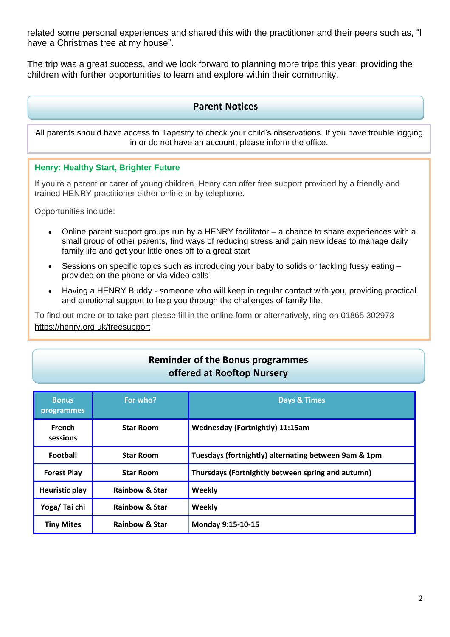related some personal experiences and shared this with the practitioner and their peers such as, "I have a Christmas tree at my house".

The trip was a great success, and we look forward to planning more trips this year, providing the children with further opportunities to learn and explore within their community.

### **Parent Notices**

All parents should have access to Tapestry to check your child's observations. If you have trouble logging in or do not have an account, please inform the office.

### **Henry: Healthy Start, Brighter Future**

If you're a parent or carer of young children, Henry can offer free support provided by a friendly and trained HENRY practitioner either online or by telephone.

Opportunities include:

- Online parent support groups run by a HENRY facilitator a chance to share experiences with a small group of other parents, find ways of reducing stress and gain new ideas to manage daily family life and get your little ones off to a great start
- Sessions on specific topics such as introducing your baby to solids or tackling fussy eating provided on the phone or via video calls
- Having a HENRY Buddy someone who will keep in regular contact with you, providing practical and emotional support to help you through the challenges of family life.

To find out more or to take part please fill in the online form or alternatively, ring on 01865 302973 [https://henry.org.uk/freesupport](about:blank)

# **Reminder of the Bonus programmes offered at Rooftop Nursery**

| <b>Bonus</b><br><b>programmes</b> | For who?                  | <b>Days &amp; Times</b>                              |  |
|-----------------------------------|---------------------------|------------------------------------------------------|--|
| <b>French</b><br>sessions         | <b>Star Room</b>          | <b>Wednesday (Fortnightly) 11:15am</b>               |  |
| <b>Football</b>                   | <b>Star Room</b>          | Tuesdays (fortnightly) alternating between 9am & 1pm |  |
| <b>Forest Play</b>                | <b>Star Room</b>          | Thursdays (Fortnightly between spring and autumn)    |  |
| <b>Heuristic play</b>             | <b>Rainbow &amp; Star</b> | Weekly                                               |  |
| Yoga/Tai chi                      | <b>Rainbow &amp; Star</b> | Weekly                                               |  |
| <b>Tiny Mites</b>                 | <b>Rainbow &amp; Star</b> | <b>Monday 9:15-10-15</b>                             |  |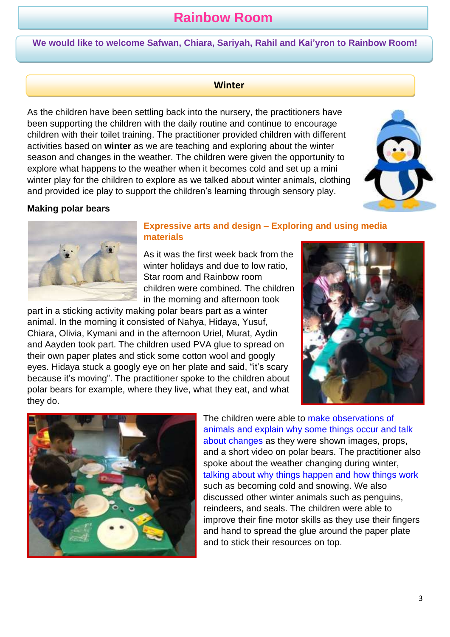# **Rainbow Room**

**We would like to welcome Safwan, Chiara, Sariyah, Rahil and Kai'yron to Rainbow Room!**

### **Winter**

As the children have been settling back into the nursery, the practitioners have been supporting the children with the daily routine and continue to encourage children with their toilet training. The practitioner provided children with different activities based on **winter** as we are teaching and exploring about the winter season and changes in the weather. The children were given the opportunity to explore what happens to the weather when it becomes cold and set up a mini winter play for the children to explore as we talked about winter animals, clothing and provided ice play to support the children's learning through sensory play.



### **Making polar bears**



#### **Expressive arts and design – Exploring and using media materials**

As it was the first week back from the winter holidays and due to low ratio, Star room and Rainbow room children were combined. The children in the morning and afternoon took

part in a sticking activity making polar bears part as a winter animal. In the morning it consisted of Nahya, Hidaya, Yusuf, Chiara, Olivia, Kymani and in the afternoon Uriel, Murat, Aydin and Aayden took part. The children used PVA glue to spread on their own paper plates and stick some cotton wool and googly eyes. Hidaya stuck a googly eye on her plate and said, "it's scary because it's moving". The practitioner spoke to the children about polar bears for example, where they live, what they eat, and what they do.





The children were able to make observations of animals and explain why some things occur and talk about changes as they were shown images, props, and a short video on polar bears. The practitioner also spoke about the weather changing during winter, talking about why things happen and how things work such as becoming cold and snowing. We also discussed other winter animals such as penguins, reindeers, and seals. The children were able to improve their fine motor skills as they use their fingers and hand to spread the glue around the paper plate and to stick their resources on top.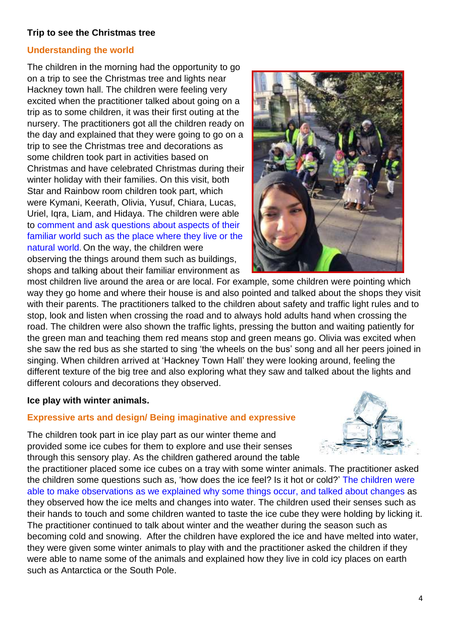### **Trip to see the Christmas tree**

### **Understanding the world**

The children in the morning had the opportunity to go on a trip to see the Christmas tree and lights near Hackney town hall. The children were feeling very excited when the practitioner talked about going on a trip as to some children, it was their first outing at the nursery. The practitioners got all the children ready on the day and explained that they were going to go on a trip to see the Christmas tree and decorations as some children took part in activities based on Christmas and have celebrated Christmas during their winter holiday with their families. On this visit, both Star and Rainbow room children took part, which were Kymani, Keerath, Olivia, Yusuf, Chiara, Lucas, Uriel, Iqra, Liam, and Hidaya. The children were able to comment and ask questions about aspects of their familiar world such as the place where they live or the natural world. On the way, the children were observing the things around them such as buildings, shops and talking about their familiar environment as



most children live around the area or are local. For example, some children were pointing which way they go home and where their house is and also pointed and talked about the shops they visit with their parents. The practitioners talked to the children about safety and traffic light rules and to stop, look and listen when crossing the road and to always hold adults hand when crossing the road. The children were also shown the traffic lights, pressing the button and waiting patiently for the green man and teaching them red means stop and green means go. Olivia was excited when she saw the red bus as she started to sing 'the wheels on the bus' song and all her peers joined in singing. When children arrived at 'Hackney Town Hall' they were looking around, feeling the different texture of the big tree and also exploring what they saw and talked about the lights and different colours and decorations they observed.

### **Ice play with winter animals.**

## **Expressive arts and design/ Being imaginative and expressive**

The children took part in ice play part as our winter theme and provided some ice cubes for them to explore and use their senses through this sensory play. As the children gathered around the table

the practitioner placed some ice cubes on a tray with some winter animals. The practitioner asked the children some questions such as, 'how does the ice feel? Is it hot or cold?' The children were able to make observations as we explained why some things occur, and talked about changes as they observed how the ice melts and changes into water. The children used their senses such as their hands to touch and some children wanted to taste the ice cube they were holding by licking it. The practitioner continued to talk about winter and the weather during the season such as becoming cold and snowing. After the children have explored the ice and have melted into water, they were given some winter animals to play with and the practitioner asked the children if they were able to name some of the animals and explained how they live in cold icy places on earth such as Antarctica or the South Pole.

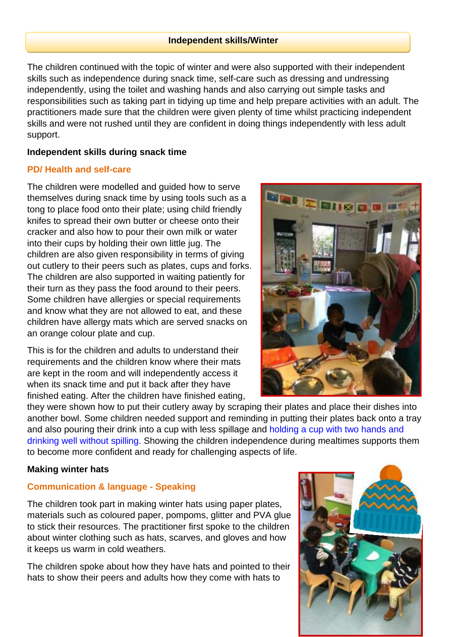### **Independent skills/Winter**

The children continued with the topic of winter and were also supported with their independent skills such as independence during snack time, self-care such as dressing and undressing independently, using the toilet and washing hands and also carrying out simple tasks and responsibilities such as taking part in tidying up time and help prepare activities with an adult. The practitioners made sure that the children were given plenty of time whilst practicing independent skills and were not rushed until they are confident in doing things independently with less adult support.

### **Independent skills during snack time**

### **PD/ Health and self-care**

The children were modelled and guided how to serve themselves during snack time by using tools such as a tong to place food onto their plate; using child friendly knifes to spread their own butter or cheese onto their cracker and also how to pour their own milk or water into their cups by holding their own little jug. The children are also given responsibility in terms of giving out cutlery to their peers such as plates, cups and forks. The children are also supported in waiting patiently for their turn as they pass the food around to their peers. Some children have allergies or special requirements and know what they are not allowed to eat, and these children have allergy mats which are served snacks on an orange colour plate and cup.

This is for the children and adults to understand their requirements and the children know where their mats are kept in the room and will independently access it when its snack time and put it back after they have finished eating. After the children have finished eating,



they were shown how to put their cutlery away by scraping their plates and place their dishes into another bowl. Some children needed support and reminding in putting their plates back onto a tray and also pouring their drink into a cup with less spillage and holding a cup with two hands and drinking well without spilling. Showing the children independence during mealtimes supports them to become more confident and ready for challenging aspects of life.

## **Making winter hats**

# **Communication & language - Speaking**

The children took part in making winter hats using paper plates, materials such as coloured paper, pompoms, glitter and PVA glue to stick their resources. The practitioner first spoke to the children about winter clothing such as hats, scarves, and gloves and how it keeps us warm in cold weathers.

The children spoke about how they have hats and pointed to their hats to show their peers and adults how they come with hats to

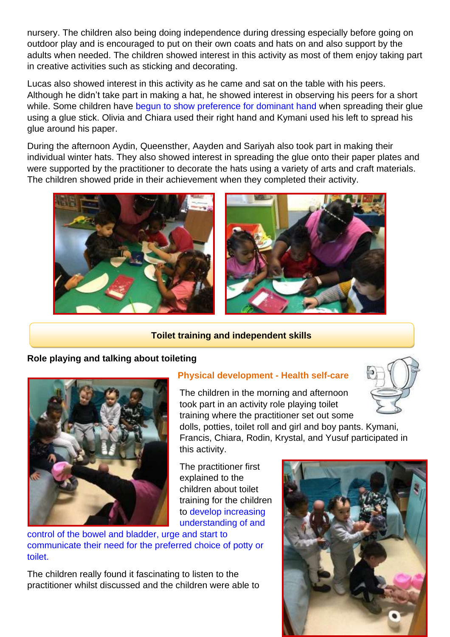nursery. The children also being doing independence during dressing especially before going on outdoor play and is encouraged to put on their own coats and hats on and also support by the adults when needed. The children showed interest in this activity as most of them enjoy taking part in creative activities such as sticking and decorating.

Lucas also showed interest in this activity as he came and sat on the table with his peers. Although he didn't take part in making a hat, he showed interest in observing his peers for a short while. Some children have begun to show preference for dominant hand when spreading their glue using a glue stick. Olivia and Chiara used their right hand and Kymani used his left to spread his glue around his paper.

During the afternoon Aydin, Queensther, Aayden and Sariyah also took part in making their individual winter hats. They also showed interest in spreading the glue onto their paper plates and were supported by the practitioner to decorate the hats using a variety of arts and craft materials. The children showed pride in their achievement when they completed their activity.



## **Toilet training and independent skills**

## **Role playing and talking about toileting**



# **Physical development - Health self-care**

The children in the morning and afternoon took part in an activity role playing toilet training where the practitioner set out some

dolls, potties, toilet roll and girl and boy pants. Kymani, Francis, Chiara, Rodin, Krystal, and Yusuf participated in this activity.

The practitioner first explained to the children about toilet training for the children to develop increasing understanding of and

control of the bowel and bladder, urge and start to communicate their need for the preferred choice of potty or toilet.

The children really found it fascinating to listen to the practitioner whilst discussed and the children were able to

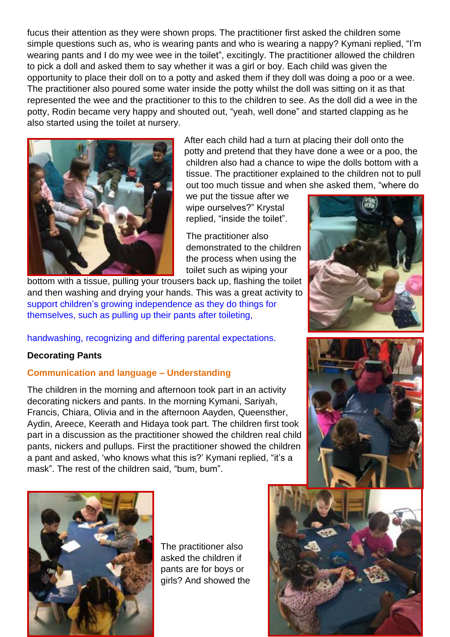fucus their attention as they were shown props. The practitioner first asked the children some simple questions such as, who is wearing pants and who is wearing a nappy? Kymani replied, "I'm wearing pants and I do my wee wee in the toilet", excitingly. The practitioner allowed the children to pick a doll and asked them to say whether it was a girl or boy. Each child was given the opportunity to place their doll on to a potty and asked them if they doll was doing a poo or a wee. The practitioner also poured some water inside the potty whilst the doll was sitting on it as that represented the wee and the practitioner to this to the children to see. As the doll did a wee in the potty, Rodin became very happy and shouted out, "yeah, well done" and started clapping as he also started using the toilet at nursery.



After each child had a turn at placing their doll onto the potty and pretend that they have done a wee or a poo, the children also had a chance to wipe the dolls bottom with a tissue. The practitioner explained to the children not to pull out too much tissue and when she asked them, "where do

we put the tissue after we wipe ourselves?" Krystal replied, "inside the toilet".

The practitioner also demonstrated to the children the process when using the toilet such as wiping your

bottom with a tissue, pulling your trousers back up, flashing the toilet and then washing and drying your hands. This was a great activity to support children's growing independence as they do things for themselves, such as pulling up their pants after toileting,

handwashing, recognizing and differing parental expectations.

## **Decorating Pants**

## **Communication and language – Understanding**

The children in the morning and afternoon took part in an activity decorating nickers and pants. In the morning Kymani, Sariyah, Francis, Chiara, Olivia and in the afternoon Aayden, Queensther, Aydin, Areece, Keerath and Hidaya took part. The children first took part in a discussion as the practitioner showed the children real child pants, nickers and pullups. First the practitioner showed the children a pant and asked, 'who knows what this is?' Kymani replied, "it's a mask". The rest of the children said, "bum, bum".







The practitioner also asked the children if pants are for boys or girls? And showed the

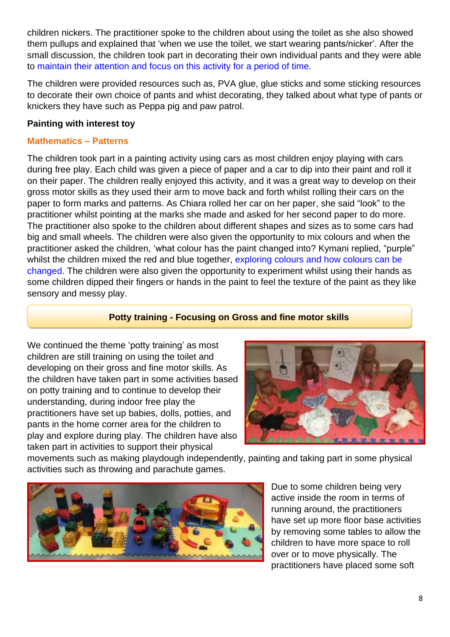children nickers. The practitioner spoke to the children about using the toilet as she also showed them pullups and explained that 'when we use the toilet, we start wearing pants/nicker'. After the small discussion, the children took part in decorating their own individual pants and they were able to maintain their attention and focus on this activity for a period of time.

The children were provided resources such as, PVA glue, glue sticks and some sticking resources to decorate their own choice of pants and whist decorating, they talked about what type of pants or knickers they have such as Peppa pig and paw patrol.

## **Painting with interest toy**

## **Mathematics – Patterns**

The children took part in a painting activity using cars as most children enjoy playing with cars during free play. Each child was given a piece of paper and a car to dip into their paint and roll it on their paper. The children really enjoyed this activity, and it was a great way to develop on their gross motor skills as they used their arm to move back and forth whilst rolling their cars on the paper to form marks and patterns. As Chiara rolled her car on her paper, she said "look" to the practitioner whilst pointing at the marks she made and asked for her second paper to do more. The practitioner also spoke to the children about different shapes and sizes as to some cars had big and small wheels. The children were also given the opportunity to mix colours and when the practitioner asked the children, 'what colour has the paint changed into? Kymani replied, "purple" whilst the children mixed the red and blue together, exploring colours and how colours can be changed. The children were also given the opportunity to experiment whilst using their hands as some children dipped their fingers or hands in the paint to feel the texture of the paint as they like sensory and messy play.

## **Potty training - Focusing on Gross and fine motor skills**

We continued the theme 'potty training' as most children are still training on using the toilet and developing on their gross and fine motor skills. As the children have taken part in some activities based on potty training and to continue to develop their understanding, during indoor free play the practitioners have set up babies, dolls, potties, and pants in the home corner area for the children to play and explore during play. The children have also taken part in activities to support their physical



movements such as making playdough independently, painting and taking part in some physical activities such as throwing and parachute games.



Due to some children being very active inside the room in terms of running around, the practitioners have set up more floor base activities by removing some tables to allow the children to have more space to roll over or to move physically. The practitioners have placed some soft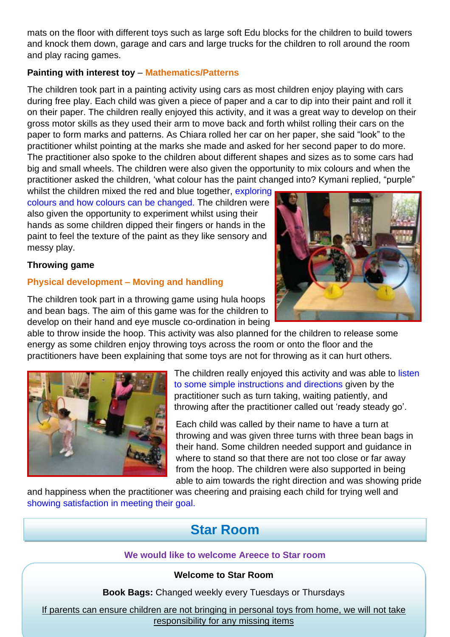mats on the floor with different toys such as large soft Edu blocks for the children to build towers and knock them down, garage and cars and large trucks for the children to roll around the room and play racing games.

## **Painting with interest toy** – **Mathematics/Patterns**

The children took part in a painting activity using cars as most children enjoy playing with cars during free play. Each child was given a piece of paper and a car to dip into their paint and roll it on their paper. The children really enjoyed this activity, and it was a great way to develop on their gross motor skills as they used their arm to move back and forth whilst rolling their cars on the paper to form marks and patterns. As Chiara rolled her car on her paper, she said "look" to the practitioner whilst pointing at the marks she made and asked for her second paper to do more. The practitioner also spoke to the children about different shapes and sizes as to some cars had big and small wheels. The children were also given the opportunity to mix colours and when the practitioner asked the children, 'what colour has the paint changed into? Kymani replied, "purple"

whilst the children mixed the red and blue together, exploring colours and how colours can be changed. The children were also given the opportunity to experiment whilst using their hands as some children dipped their fingers or hands in the paint to feel the texture of the paint as they like sensory and messy play.

### **Throwing game**

### **Physical development – Moving and handling**



able to throw inside the hoop. This activity was also planned for the children to release some energy as some children enjoy throwing toys across the room or onto the floor and the practitioners have been explaining that some toys are not for throwing as it can hurt others.



The children really enjoyed this activity and was able to listen to some simple instructions and directions given by the practitioner such as turn taking, waiting patiently, and throwing after the practitioner called out 'ready steady go'.

Each child was called by their name to have a turn at throwing and was given three turns with three bean bags in their hand. Some children needed support and guidance in where to stand so that there are not too close or far away from the hoop. The children were also supported in being able to aim towards the right direction and was showing pride

and happiness when the practitioner was cheering and praising each child for trying well and showing satisfaction in meeting their goal.

# **Star Room**

## **We would like to welcome Areece to Star room**

### **Welcome to Star Room**

**Book Bags:** Changed weekly every Tuesdays or Thursdays

If parents can ensure children are not bringing in personal toys from home, we will not take responsibility for any missing items

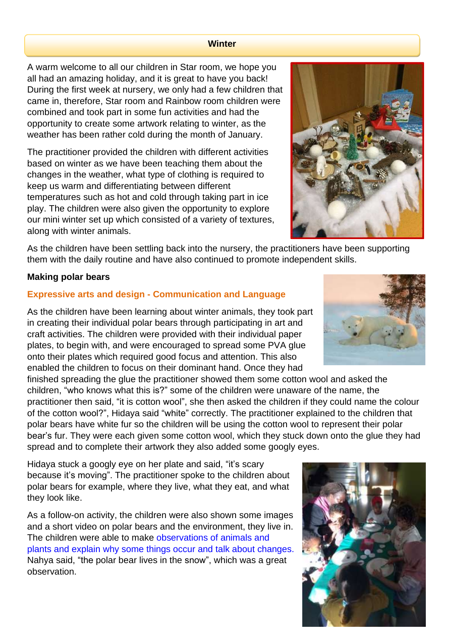#### **Winter**

A warm welcome to all our children in Star room, we hope you all had an amazing holiday, and it is great to have you back! During the first week at nursery, we only had a few children that came in, therefore, Star room and Rainbow room children were combined and took part in some fun activities and had the opportunity to create some artwork relating to winter, as the weather has been rather cold during the month of January.

The practitioner provided the children with different activities based on winter as we have been teaching them about the changes in the weather, what type of clothing is required to keep us warm and differentiating between different temperatures such as hot and cold through taking part in ice play. The children were also given the opportunity to explore our mini winter set up which consisted of a variety of textures, along with winter animals.

As the children have been settling back into the nursery, the practitioners have been supporting them with the daily routine and have also continued to promote independent skills.

### **Making polar bears**

### **Expressive arts and design - Communication and Language**

As the children have been learning about winter animals, they took part in creating their individual polar bears through participating in art and craft activities. The children were provided with their individual paper plates, to begin with, and were encouraged to spread some PVA glue onto their plates which required good focus and attention. This also enabled the children to focus on their dominant hand. Once they had

finished spreading the glue the practitioner showed them some cotton wool and asked the children, "who knows what this is?" some of the children were unaware of the name, the practitioner then said, "it is cotton wool", she then asked the children if they could name the colour of the cotton wool?", Hidaya said "white" correctly. The practitioner explained to the children that polar bears have white fur so the children will be using the cotton wool to represent their polar bear's fur. They were each given some cotton wool, which they stuck down onto the glue they had spread and to complete their artwork they also added some googly eyes.

Hidaya stuck a googly eye on her plate and said, "it's scary because it's moving". The practitioner spoke to the children about polar bears for example, where they live, what they eat, and what they look like.

As a follow-on activity, the children were also shown some images and a short video on polar bears and the environment, they live in. The children were able to make observations of animals and plants and explain why some things occur and talk about changes. Nahya said, "the polar bear lives in the snow", which was a great observation.





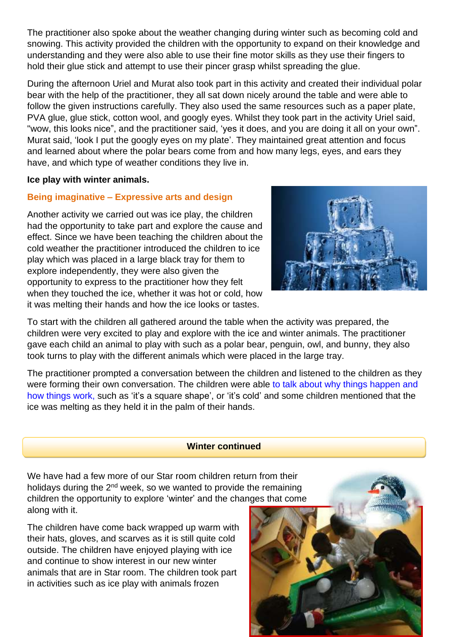The practitioner also spoke about the weather changing during winter such as becoming cold and snowing. This activity provided the children with the opportunity to expand on their knowledge and understanding and they were also able to use their fine motor skills as they use their fingers to hold their glue stick and attempt to use their pincer grasp whilst spreading the glue.

During the afternoon Uriel and Murat also took part in this activity and created their individual polar bear with the help of the practitioner, they all sat down nicely around the table and were able to follow the given instructions carefully. They also used the same resources such as a paper plate, PVA glue, glue stick, cotton wool, and googly eyes. Whilst they took part in the activity Uriel said, "wow, this looks nice", and the practitioner said, 'yes it does, and you are doing it all on your own". Murat said, 'look I put the googly eyes on my plate'. They maintained great attention and focus and learned about where the polar bears come from and how many legs, eyes, and ears they have, and which type of weather conditions they live in.

### **Ice play with winter animals.**

## **Being imaginative – Expressive arts and design**

Another activity we carried out was ice play, the children had the opportunity to take part and explore the cause and effect. Since we have been teaching the children about the cold weather the practitioner introduced the children to ice play which was placed in a large black tray for them to explore independently, they were also given the opportunity to express to the practitioner how they felt when they touched the ice, whether it was hot or cold, how it was melting their hands and how the ice looks or tastes.



To start with the children all gathered around the table when the activity was prepared, the children were very excited to play and explore with the ice and winter animals. The practitioner gave each child an animal to play with such as a polar bear, penguin, owl, and bunny, they also took turns to play with the different animals which were placed in the large tray.

The practitioner prompted a conversation between the children and listened to the children as they were forming their own conversation. The children were able to talk about why things happen and how things work, such as 'it's a square shape', or 'it's cold' and some children mentioned that the ice was melting as they held it in the palm of their hands.

### **Winter continued**

We have had a few more of our Star room children return from their holidays during the 2<sup>nd</sup> week, so we wanted to provide the remaining children the opportunity to explore 'winter' and the changes that come along with it.

The children have come back wrapped up warm with their hats, gloves, and scarves as it is still quite cold outside. The children have enjoyed playing with ice and continue to show interest in our new winter animals that are in Star room. The children took part in activities such as ice play with animals frozen

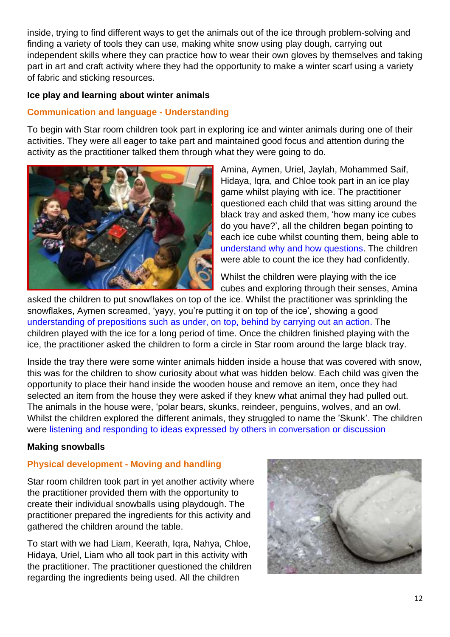inside, trying to find different ways to get the animals out of the ice through problem-solving and finding a variety of tools they can use, making white snow using play dough, carrying out independent skills where they can practice how to wear their own gloves by themselves and taking part in art and craft activity where they had the opportunity to make a winter scarf using a variety of fabric and sticking resources.

## **Ice play and learning about winter animals**

## **Communication and language - Understanding**

To begin with Star room children took part in exploring ice and winter animals during one of their activities. They were all eager to take part and maintained good focus and attention during the activity as the practitioner talked them through what they were going to do.



Amina, Aymen, Uriel, Jaylah, Mohammed Saif, Hidaya, Iqra, and Chloe took part in an ice play game whilst playing with ice. The practitioner questioned each child that was sitting around the black tray and asked them, 'how many ice cubes do you have?', all the children began pointing to each ice cube whilst counting them, being able to understand why and how questions. The children were able to count the ice they had confidently.

Whilst the children were playing with the ice cubes and exploring through their senses, Amina

asked the children to put snowflakes on top of the ice. Whilst the practitioner was sprinkling the snowflakes, Aymen screamed, 'yayy, you're putting it on top of the ice', showing a good understanding of prepositions such as under, on top, behind by carrying out an action. The children played with the ice for a long period of time. Once the children finished playing with the ice, the practitioner asked the children to form a circle in Star room around the large black tray.

Inside the tray there were some winter animals hidden inside a house that was covered with snow, this was for the children to show curiosity about what was hidden below. Each child was given the opportunity to place their hand inside the wooden house and remove an item, once they had selected an item from the house they were asked if they knew what animal they had pulled out. The animals in the house were, 'polar bears, skunks, reindeer, penguins, wolves, and an owl. Whilst the children explored the different animals, they struggled to name the 'Skunk'. The children were listening and responding to ideas expressed by others in conversation or discussion

## **Making snowballs**

# **Physical development - Moving and handling**

Star room children took part in yet another activity where the practitioner provided them with the opportunity to create their individual snowballs using playdough. The practitioner prepared the ingredients for this activity and gathered the children around the table.

To start with we had Liam, Keerath, Iqra, Nahya, Chloe, Hidaya, Uriel, Liam who all took part in this activity with the practitioner. The practitioner questioned the children regarding the ingredients being used. All the children

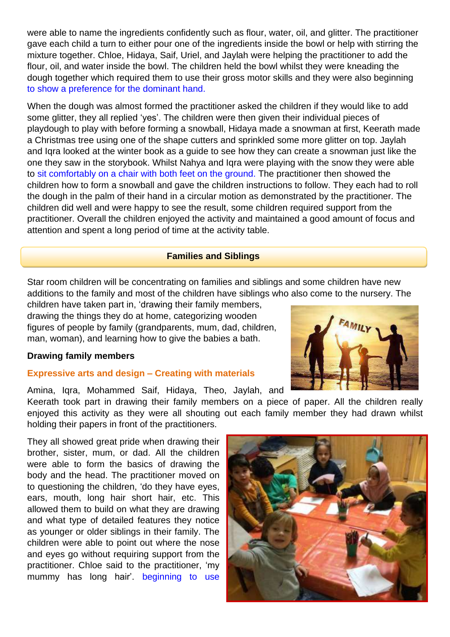were able to name the ingredients confidently such as flour, water, oil, and glitter. The practitioner gave each child a turn to either pour one of the ingredients inside the bowl or help with stirring the mixture together. Chloe, Hidaya, Saif, Uriel, and Jaylah were helping the practitioner to add the flour, oil, and water inside the bowl. The children held the bowl whilst they were kneading the dough together which required them to use their gross motor skills and they were also beginning to show a preference for the dominant hand.

When the dough was almost formed the practitioner asked the children if they would like to add some glitter, they all replied 'yes'. The children were then given their individual pieces of playdough to play with before forming a snowball, Hidaya made a snowman at first, Keerath made a Christmas tree using one of the shape cutters and sprinkled some more glitter on top. Jaylah and Iqra looked at the winter book as a guide to see how they can create a snowman just like the one they saw in the storybook. Whilst Nahya and Iqra were playing with the snow they were able to sit comfortably on a chair with both feet on the ground. The practitioner then showed the children how to form a snowball and gave the children instructions to follow. They each had to roll the dough in the palm of their hand in a circular motion as demonstrated by the practitioner. The children did well and were happy to see the result, some children required support from the practitioner. Overall the children enjoyed the activity and maintained a good amount of focus and attention and spent a long period of time at the activity table.

### **Families and Siblings**

Star room children will be concentrating on families and siblings and some children have new additions to the family and most of the children have siblings who also come to the nursery. The

children have taken part in, 'drawing their family members, drawing the things they do at home, categorizing wooden figures of people by family (grandparents, mum, dad, children, man, woman), and learning how to give the babies a bath.

#### **Drawing family members**

### **Expressive arts and design – Creating with materials**

Amina, Iqra, Mohammed Saif, Hidaya, Theo, Jaylah, and

Keerath took part in drawing their family members on a piece of paper. All the children really enjoyed this activity as they were all shouting out each family member they had drawn whilst holding their papers in front of the practitioners.

They all showed great pride when drawing their brother, sister, mum, or dad. All the children were able to form the basics of drawing the body and the head. The practitioner moved on to questioning the children, 'do they have eyes, ears, mouth, long hair short hair, etc. This allowed them to build on what they are drawing and what type of detailed features they notice as younger or older siblings in their family. The children were able to point out where the nose and eyes go without requiring support from the practitioner. Chloe said to the practitioner, 'my mummy has long hair'. beginning to use



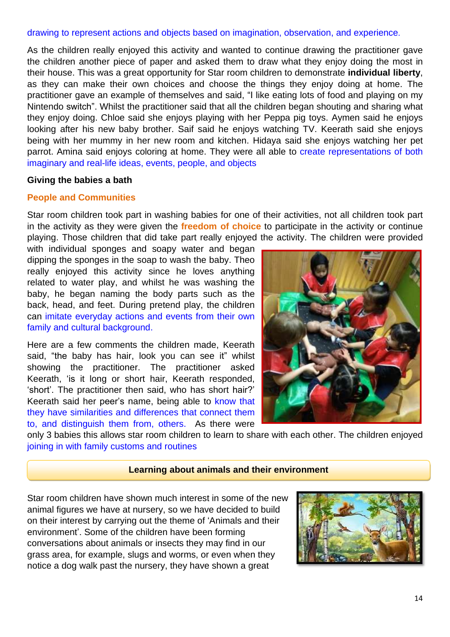### drawing to represent actions and objects based on imagination, observation, and experience.

As the children really enjoyed this activity and wanted to continue drawing the practitioner gave the children another piece of paper and asked them to draw what they enjoy doing the most in their house. This was a great opportunity for Star room children to demonstrate **individual liberty**, as they can make their own choices and choose the things they enjoy doing at home. The practitioner gave an example of themselves and said, "I like eating lots of food and playing on my Nintendo switch". Whilst the practitioner said that all the children began shouting and sharing what they enjoy doing. Chloe said she enjoys playing with her Peppa pig toys. Aymen said he enjoys looking after his new baby brother. Saif said he enjoys watching TV. Keerath said she enjoys being with her mummy in her new room and kitchen. Hidaya said she enjoys watching her pet parrot. Amina said enjoys coloring at home. They were all able to create representations of both imaginary and real-life ideas, events, people, and objects

### **Giving the babies a bath**

### **People and Communities**

Star room children took part in washing babies for one of their activities, not all children took part in the activity as they were given the **freedom of choice** to participate in the activity or continue playing. Those children that did take part really enjoyed the activity. The children were provided

with individual sponges and soapy water and began dipping the sponges in the soap to wash the baby. Theo really enjoyed this activity since he loves anything related to water play, and whilst he was washing the baby, he began naming the body parts such as the back, head, and feet. During pretend play, the children can imitate everyday actions and events from their own family and cultural background.

Here are a few comments the children made, Keerath said, "the baby has hair, look you can see it" whilst showing the practitioner. The practitioner asked Keerath, 'is it long or short hair, Keerath responded, 'short'. The practitioner then said, who has short hair?' Keerath said her peer's name, being able to know that they have similarities and differences that connect them to, and distinguish them from, others. As there were



only 3 babies this allows star room children to learn to share with each other. The children enjoyed joining in with family customs and routines

#### **Learning about animals and their environment**

Star room children have shown much interest in some of the new animal figures we have at nursery, so we have decided to build on their interest by carrying out the theme of 'Animals and their environment'. Some of the children have been forming conversations about animals or insects they may find in our grass area, for example, slugs and worms, or even when they notice a dog walk past the nursery, they have shown a great

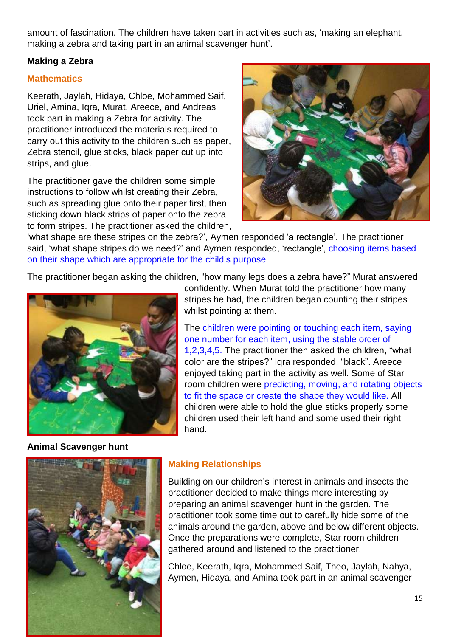amount of fascination. The children have taken part in activities such as, 'making an elephant, making a zebra and taking part in an animal scavenger hunt'.

## **Making a Zebra**

## **Mathematics**

Keerath, Jaylah, Hidaya, Chloe, Mohammed Saif, Uriel, Amina, Iqra, Murat, Areece, and Andreas took part in making a Zebra for activity. The practitioner introduced the materials required to carry out this activity to the children such as paper, Zebra stencil, glue sticks, black paper cut up into strips, and glue.

The practitioner gave the children some simple instructions to follow whilst creating their Zebra, such as spreading glue onto their paper first, then sticking down black strips of paper onto the zebra to form stripes. The practitioner asked the children,



'what shape are these stripes on the zebra?', Aymen responded 'a rectangle'. The practitioner said, 'what shape stripes do we need?' and Aymen responded, 'rectangle', choosing items based on their shape which are appropriate for the child's purpose

The practitioner began asking the children, "how many legs does a zebra have?" Murat answered



**Animal Scavenger hunt**

confidently. When Murat told the practitioner how many stripes he had, the children began counting their stripes whilst pointing at them.

The children were pointing or touching each item, saying one number for each item, using the stable order of 1,2,3,4,5. The practitioner then asked the children, "what color are the stripes?" Iqra responded, "black". Areece enjoyed taking part in the activity as well. Some of Star room children were predicting, moving, and rotating objects to fit the space or create the shape they would like. All children were able to hold the glue sticks properly some children used their left hand and some used their right hand.



# **Making Relationships**

Building on our children's interest in animals and insects the practitioner decided to make things more interesting by preparing an animal scavenger hunt in the garden. The practitioner took some time out to carefully hide some of the animals around the garden, above and below different objects. Once the preparations were complete, Star room children gathered around and listened to the practitioner.

Chloe, Keerath, Iqra, Mohammed Saif, Theo, Jaylah, Nahya, Aymen, Hidaya, and Amina took part in an animal scavenger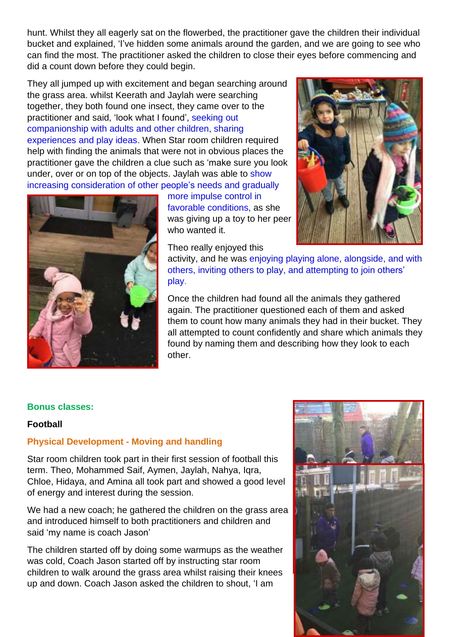hunt. Whilst they all eagerly sat on the flowerbed, the practitioner gave the children their individual bucket and explained, 'I've hidden some animals around the garden, and we are going to see who can find the most. The practitioner asked the children to close their eyes before commencing and did a count down before they could begin.

They all jumped up with excitement and began searching around the grass area. whilst Keerath and Jaylah were searching together, they both found one insect, they came over to the practitioner and said, 'look what I found', seeking out companionship with adults and other children, sharing experiences and play ideas. When Star room children required help with finding the animals that were not in obvious places the practitioner gave the children a clue such as 'make sure you look under, over or on top of the objects. Jaylah was able to show increasing consideration of other people's needs and gradually



more impulse control in favorable conditions, as she was giving up a toy to her peer who wanted it.

Theo really enjoyed this



activity, and he was enjoying playing alone, alongside, and with others, inviting others to play, and attempting to join others' play.

Once the children had found all the animals they gathered again. The practitioner questioned each of them and asked them to count how many animals they had in their bucket. They all attempted to count confidently and share which animals they found by naming them and describing how they look to each other.

### **Bonus classes:**

## **Football**

## **Physical Development - Moving and handling**

Star room children took part in their first session of football this term. Theo, Mohammed Saif, Aymen, Jaylah, Nahya, Iqra, Chloe, Hidaya, and Amina all took part and showed a good level of energy and interest during the session.

We had a new coach; he gathered the children on the grass area and introduced himself to both practitioners and children and said 'my name is coach Jason'

The children started off by doing some warmups as the weather was cold, Coach Jason started off by instructing star room children to walk around the grass area whilst raising their knees up and down. Coach Jason asked the children to shout, 'I am

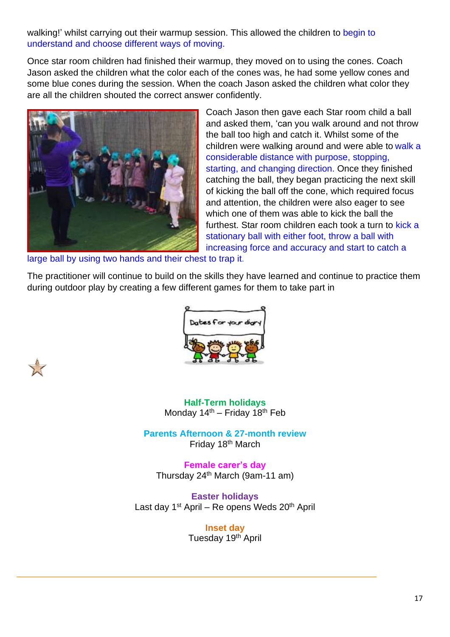walking!' whilst carrying out their warmup session. This allowed the children to begin to understand and choose different ways of moving.

Once star room children had finished their warmup, they moved on to using the cones. Coach Jason asked the children what the color each of the cones was, he had some yellow cones and some blue cones during the session. When the coach Jason asked the children what color they are all the children shouted the correct answer confidently.



Coach Jason then gave each Star room child a ball and asked them, 'can you walk around and not throw the ball too high and catch it. Whilst some of the children were walking around and were able to walk a considerable distance with purpose, stopping, starting, and changing direction. Once they finished catching the ball, they began practicing the next skill of kicking the ball off the cone, which required focus and attention, the children were also eager to see which one of them was able to kick the ball the furthest. Star room children each took a turn to kick a stationary ball with either foot, throw a ball with increasing force and accuracy and start to catch a

large ball by using two hands and their chest to trap it.

The practitioner will continue to build on the skills they have learned and continue to practice them during outdoor play by creating a few different games for them to take part in



**Half-Term holidays** Monday  $14<sup>th</sup>$  – Friday  $18<sup>th</sup>$  Feb

**Parents Afternoon & 27-month review**  Friday 18<sup>th</sup> March

**Female carer's day** Thursday 24th March (9am-11 am)

**Easter holidays** Last day 1<sup>st</sup> April – Re opens Weds 20<sup>th</sup> April

> **Inset day**  Tuesday 19<sup>th</sup> April



Ī